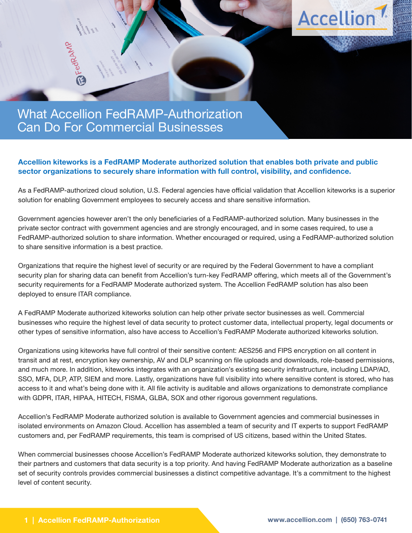

## What Accellion FedRAMP-Authorization Can Do For Commercial Businesses

## **Accellion kiteworks is a FedRAMP Moderate authorized solution that enables both private and public sector organizations to securely share information with full control, visibility, and confidence.**

As a FedRAMP-authorized cloud solution, U.S. Federal agencies have official validation that Accellion kiteworks is a superior solution for enabling Government employees to securely access and share sensitive information.

Government agencies however aren't the only beneficiaries of a FedRAMP-authorized solution. Many businesses in the private sector contract with government agencies and are strongly encouraged, and in some cases required, to use a FedRAMP-authorized solution to share information. Whether encouraged or required, using a FedRAMP-authorized solution to share sensitive information is a best practice.

Organizations that require the highest level of security or are required by the Federal Government to have a compliant security plan for sharing data can benefit from Accellion's turn-key FedRAMP offering, which meets all of the Government's security requirements for a FedRAMP Moderate authorized system. The Accellion FedRAMP solution has also been deployed to ensure ITAR compliance.

A FedRAMP Moderate authorized kiteworks solution can help other private sector businesses as well. Commercial businesses who require the highest level of data security to protect customer data, intellectual property, legal documents or other types of sensitive information, also have access to Accellion's FedRAMP Moderate authorized kiteworks solution.

Organizations using kiteworks have full control of their sensitive content: AES256 and FIPS encryption on all content in transit and at rest, encryption key ownership, AV and DLP scanning on file uploads and downloads, role-based permissions, and much more. In addition, kiteworks integrates with an organization's existing security infrastructure, including LDAP/AD, SSO, MFA, DLP, ATP, SIEM and more. Lastly, organizations have full visibility into where sensitive content is stored, who has access to it and what's being done with it. All file activity is auditable and allows organizations to demonstrate compliance with GDPR, ITAR, HIPAA, HITECH, FISMA, GLBA, SOX and other rigorous government regulations.

Accellion's FedRAMP Moderate authorized solution is available to Government agencies and commercial businesses in isolated environments on Amazon Cloud. Accellion has assembled a team of security and IT experts to support FedRAMP customers and, per FedRAMP requirements, this team is comprised of US citizens, based within the United States.

When commercial businesses choose Accellion's FedRAMP Moderate authorized kiteworks solution, they demonstrate to their partners and customers that data security is a top priority. And having FedRAMP Moderate authorization as a baseline set of security controls provides commercial businesses a distinct competitive advantage. It's a commitment to the highest level of content security.